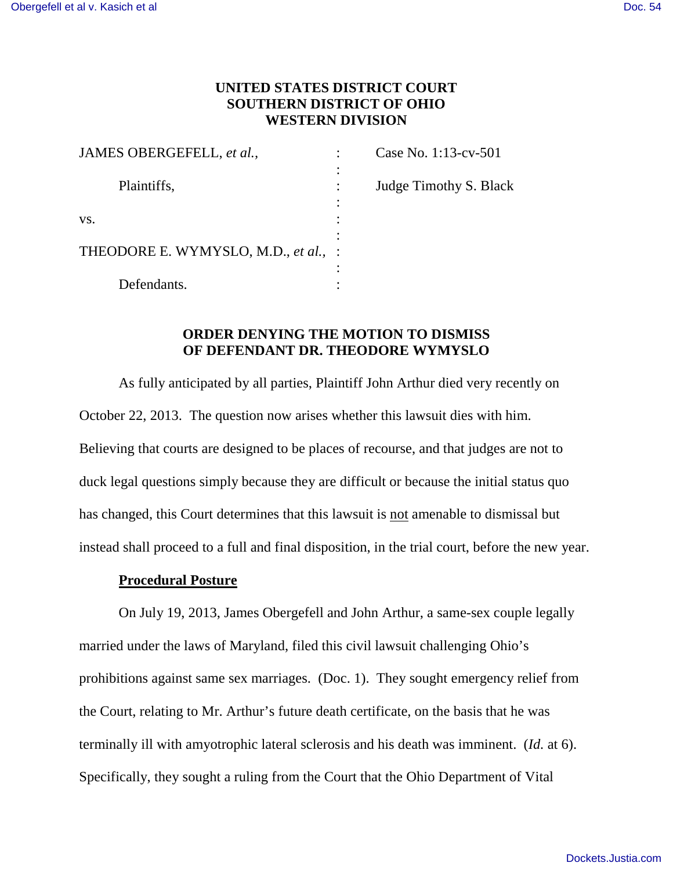# **UNITED STATES DISTRICT COURT SOUTHERN DISTRICT OF OHIO WESTERN DIVISION**

| JAMES OBERGEFELL, et al.,            |   | Case No. 1:13-cv-501   |
|--------------------------------------|---|------------------------|
| Plaintiffs,                          | ٠ | Judge Timothy S. Black |
| VS.                                  |   |                        |
| THEODORE E. WYMYSLO, M.D., et al., : |   |                        |
| Defendants.                          |   |                        |

## **ORDER DENYING THE MOTION TO DISMISS OF DEFENDANT DR. THEODORE WYMYSLO**

As fully anticipated by all parties, Plaintiff John Arthur died very recently on October 22, 2013. The question now arises whether this lawsuit dies with him. Believing that courts are designed to be places of recourse, and that judges are not to duck legal questions simply because they are difficult or because the initial status quo has changed, this Court determines that this lawsuit is not amenable to dismissal but instead shall proceed to a full and final disposition, in the trial court, before the new year.

### **Procedural Posture**

On July 19, 2013, James Obergefell and John Arthur, a same-sex couple legally married under the laws of Maryland, filed this civil lawsuit challenging Ohio's prohibitions against same sex marriages. (Doc. 1). They sought emergency relief from the Court, relating to Mr. Arthur's future death certificate, on the basis that he was terminally ill with amyotrophic lateral sclerosis and his death was imminent. (*Id.* at 6). Specifically, they sought a ruling from the Court that the Ohio Department of Vital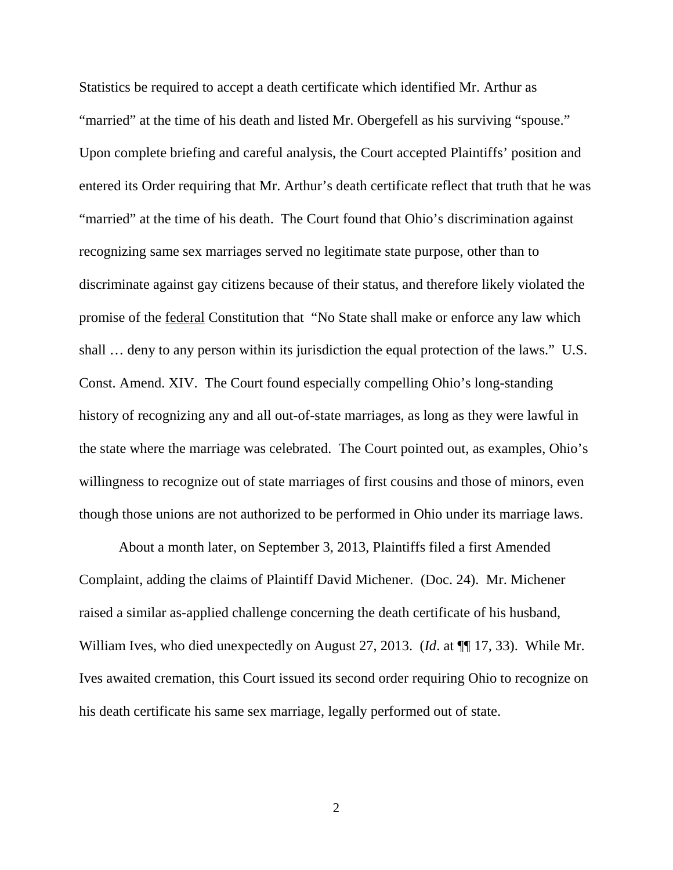Statistics be required to accept a death certificate which identified Mr. Arthur as "married" at the time of his death and listed Mr. Obergefell as his surviving "spouse." Upon complete briefing and careful analysis, the Court accepted Plaintiffs' position and entered its Order requiring that Mr. Arthur's death certificate reflect that truth that he was "married" at the time of his death. The Court found that Ohio's discrimination against recognizing same sex marriages served no legitimate state purpose, other than to discriminate against gay citizens because of their status, and therefore likely violated the promise of the federal Constitution that "No State shall make or enforce any law which shall … deny to any person within its jurisdiction the equal protection of the laws." U.S. Const. Amend. XIV. The Court found especially compelling Ohio's long-standing history of recognizing any and all out-of-state marriages, as long as they were lawful in the state where the marriage was celebrated. The Court pointed out, as examples, Ohio's willingness to recognize out of state marriages of first cousins and those of minors, even though those unions are not authorized to be performed in Ohio under its marriage laws.

About a month later, on September 3, 2013, Plaintiffs filed a first Amended Complaint, adding the claims of Plaintiff David Michener. (Doc. 24). Mr. Michener raised a similar as-applied challenge concerning the death certificate of his husband, William Ives, who died unexpectedly on August 27, 2013. (*Id*. at ¶¶ 17, 33). While Mr. Ives awaited cremation, this Court issued its second order requiring Ohio to recognize on his death certificate his same sex marriage, legally performed out of state.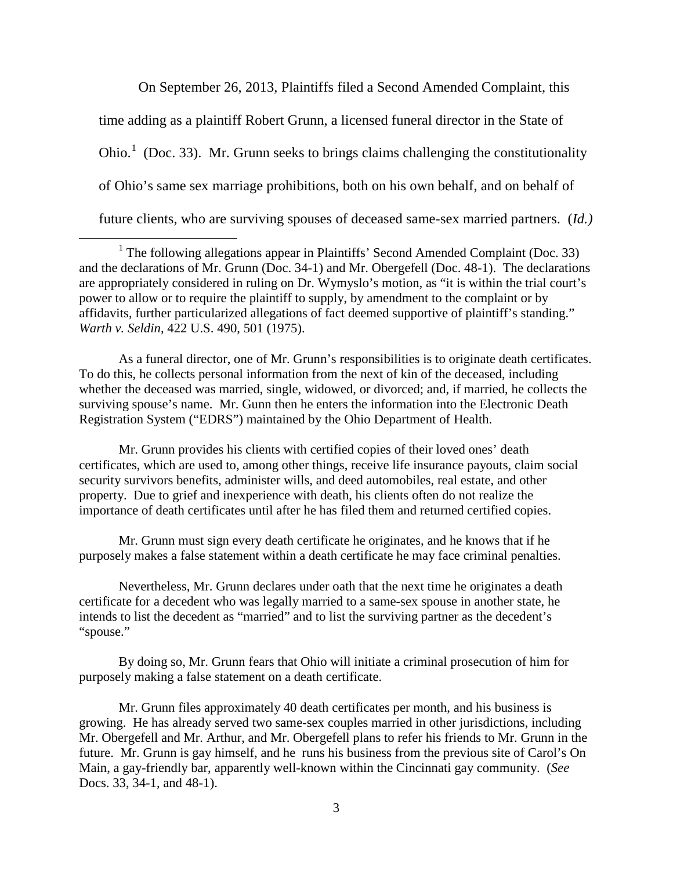On September 26, 2013, Plaintiffs filed a Second Amended Complaint, this

time adding as a plaintiff Robert Grunn, a licensed funeral director in the State of Ohio.<sup>[1](#page-2-0)</sup> (Doc. 33). Mr. Grunn seeks to brings claims challenging the constitutionality of Ohio's same sex marriage prohibitions, both on his own behalf, and on behalf of

future clients, who are surviving spouses of deceased same-sex married partners. (*Id.)*

 $\overline{a}$ 

As a funeral director, one of Mr. Grunn's responsibilities is to originate death certificates. To do this, he collects personal information from the next of kin of the deceased, including whether the deceased was married, single, widowed, or divorced; and, if married, he collects the surviving spouse's name. Mr. Gunn then he enters the information into the Electronic Death Registration System ("EDRS") maintained by the Ohio Department of Health.

Mr. Grunn provides his clients with certified copies of their loved ones' death certificates, which are used to, among other things, receive life insurance payouts, claim social security survivors benefits, administer wills, and deed automobiles, real estate, and other property. Due to grief and inexperience with death, his clients often do not realize the importance of death certificates until after he has filed them and returned certified copies.

Mr. Grunn must sign every death certificate he originates, and he knows that if he purposely makes a false statement within a death certificate he may face criminal penalties.

Nevertheless, Mr. Grunn declares under oath that the next time he originates a death certificate for a decedent who was legally married to a same-sex spouse in another state, he intends to list the decedent as "married" and to list the surviving partner as the decedent's "spouse."

By doing so, Mr. Grunn fears that Ohio will initiate a criminal prosecution of him for purposely making a false statement on a death certificate.

Mr. Grunn files approximately 40 death certificates per month, and his business is growing. He has already served two same-sex couples married in other jurisdictions, including Mr. Obergefell and Mr. Arthur, and Mr. Obergefell plans to refer his friends to Mr. Grunn in the future. Mr. Grunn is gay himself, and he runs his business from the previous site of Carol's On Main, a gay-friendly bar, apparently well-known within the Cincinnati gay community. (*See* Docs. 33, 34-1, and 48-1).

<span id="page-2-0"></span><sup>&</sup>lt;sup>1</sup> The following allegations appear in Plaintiffs' Second Amended Complaint (Doc. 33) and the declarations of Mr. Grunn (Doc. 34-1) and Mr. Obergefell (Doc. 48-1). The declarations are appropriately considered in ruling on Dr. Wymyslo's motion, as "it is within the trial court's power to allow or to require the plaintiff to supply, by amendment to the complaint or by affidavits, further particularized allegations of fact deemed supportive of plaintiff's standing." *Warth v. Seldin*, 422 U.S. 490, 501 (1975).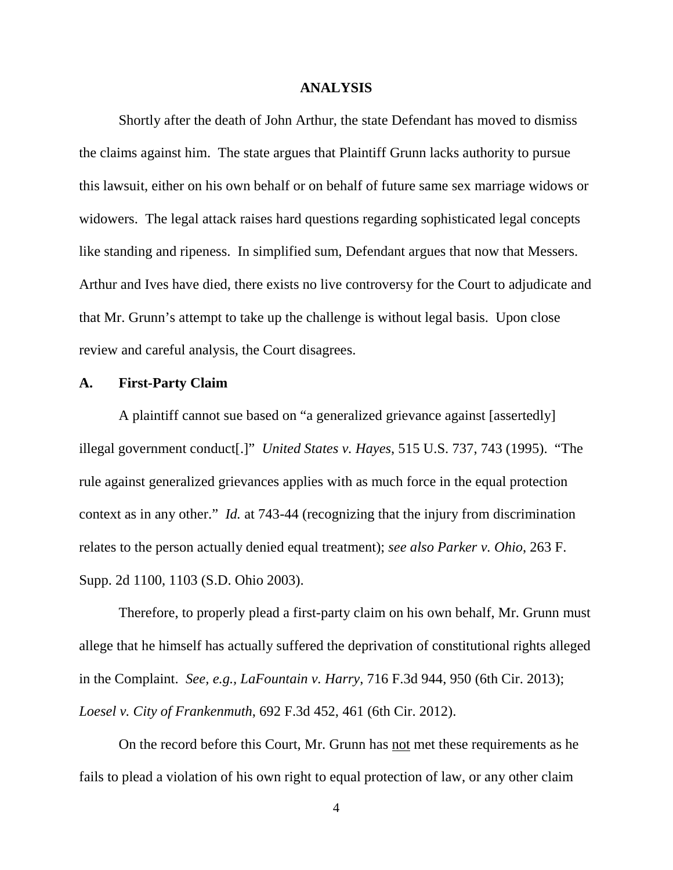#### **ANALYSIS**

Shortly after the death of John Arthur, the state Defendant has moved to dismiss the claims against him. The state argues that Plaintiff Grunn lacks authority to pursue this lawsuit, either on his own behalf or on behalf of future same sex marriage widows or widowers. The legal attack raises hard questions regarding sophisticated legal concepts like standing and ripeness. In simplified sum, Defendant argues that now that Messers. Arthur and Ives have died, there exists no live controversy for the Court to adjudicate and that Mr. Grunn's attempt to take up the challenge is without legal basis. Upon close review and careful analysis, the Court disagrees.

### **A. First-Party Claim**

A plaintiff cannot sue based on "a generalized grievance against [assertedly] illegal government conduct[.]" *United States v. Hayes*, 515 U.S. 737, 743 (1995). "The rule against generalized grievances applies with as much force in the equal protection context as in any other." *Id.* at 743-44 (recognizing that the injury from discrimination relates to the person actually denied equal treatment); *see also Parker v. Ohio*, 263 F. Supp. 2d 1100, 1103 (S.D. Ohio 2003).

Therefore, to properly plead a first-party claim on his own behalf, Mr. Grunn must allege that he himself has actually suffered the deprivation of constitutional rights alleged in the Complaint. *See, e.g., LaFountain v. Harry*, 716 F.3d 944, 950 (6th Cir. 2013); *Loesel v. City of Frankenmuth*, 692 F.3d 452, 461 (6th Cir. 2012).

On the record before this Court, Mr. Grunn has not met these requirements as he fails to plead a violation of his own right to equal protection of law, or any other claim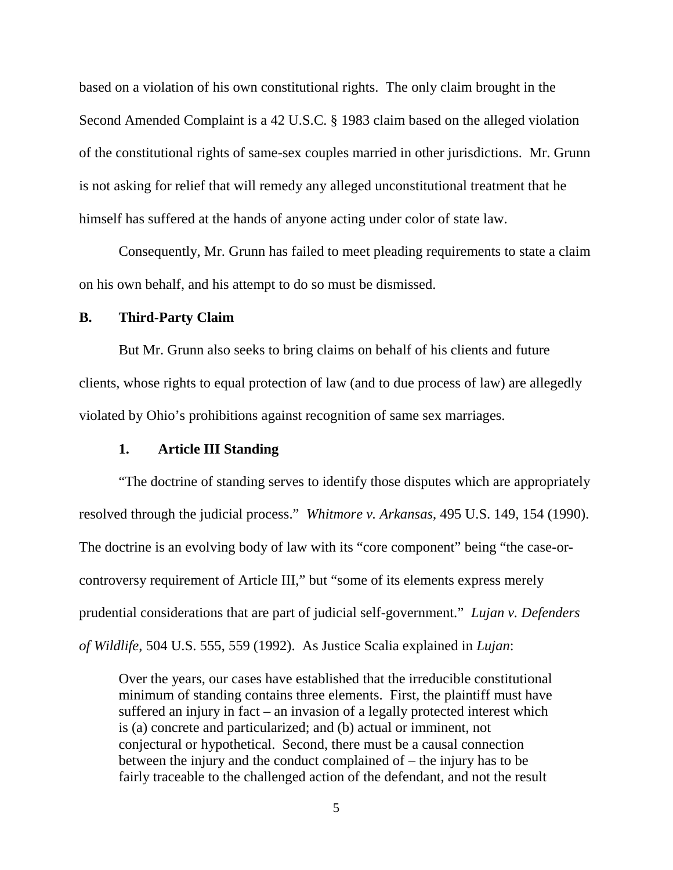based on a violation of his own constitutional rights. The only claim brought in the Second Amended Complaint is a 42 U.S.C. § 1983 claim based on the alleged violation of the constitutional rights of same-sex couples married in other jurisdictions. Mr. Grunn is not asking for relief that will remedy any alleged unconstitutional treatment that he himself has suffered at the hands of anyone acting under color of state law.

Consequently, Mr. Grunn has failed to meet pleading requirements to state a claim on his own behalf, and his attempt to do so must be dismissed.

#### **B. Third-Party Claim**

But Mr. Grunn also seeks to bring claims on behalf of his clients and future clients, whose rights to equal protection of law (and to due process of law) are allegedly violated by Ohio's prohibitions against recognition of same sex marriages.

## **1. Article III Standing**

"The doctrine of standing serves to identify those disputes which are appropriately resolved through the judicial process." *Whitmore v. Arkansas*, 495 U.S. 149, 154 (1990). The doctrine is an evolving body of law with its "core component" being "the case-orcontroversy requirement of Article III," but "some of its elements express merely prudential considerations that are part of judicial self-government." *Lujan v. Defenders of Wildlife*, 504 U.S. 555, 559 (1992). As Justice Scalia explained in *Lujan*:

Over the years, our cases have established that the irreducible constitutional minimum of standing contains three elements. First, the plaintiff must have suffered an injury in fact – an invasion of a legally protected interest which is (a) concrete and particularized; and (b) actual or imminent, not conjectural or hypothetical. Second, there must be a causal connection between the injury and the conduct complained of – the injury has to be fairly traceable to the challenged action of the defendant, and not the result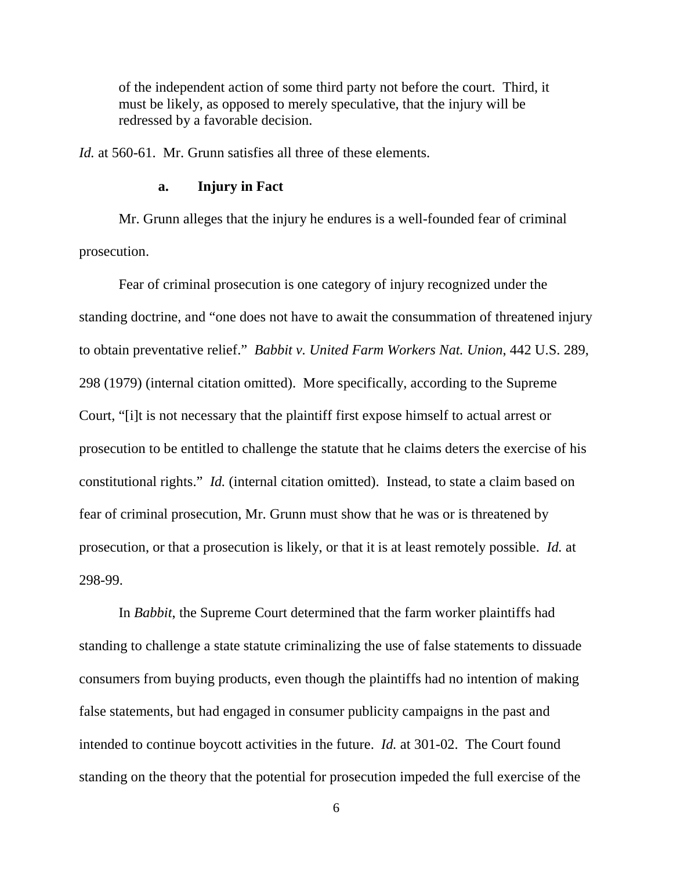of the independent action of some third party not before the court. Third, it must be likely, as opposed to merely speculative, that the injury will be redressed by a favorable decision.

*Id.* at 560-61. Mr. Grunn satisfies all three of these elements.

#### **a. Injury in Fact**

Mr. Grunn alleges that the injury he endures is a well-founded fear of criminal prosecution.

Fear of criminal prosecution is one category of injury recognized under the standing doctrine, and "one does not have to await the consummation of threatened injury to obtain preventative relief." *Babbit v. United Farm Workers Nat. Union*, 442 U.S. 289, 298 (1979) (internal citation omitted). More specifically, according to the Supreme Court, "[i]t is not necessary that the plaintiff first expose himself to actual arrest or prosecution to be entitled to challenge the statute that he claims deters the exercise of his constitutional rights." *Id.* (internal citation omitted). Instead, to state a claim based on fear of criminal prosecution, Mr. Grunn must show that he was or is threatened by prosecution, or that a prosecution is likely, or that it is at least remotely possible. *Id.* at 298-99.

In *Babbit*, the Supreme Court determined that the farm worker plaintiffs had standing to challenge a state statute criminalizing the use of false statements to dissuade consumers from buying products, even though the plaintiffs had no intention of making false statements, but had engaged in consumer publicity campaigns in the past and intended to continue boycott activities in the future. *Id.* at 301-02. The Court found standing on the theory that the potential for prosecution impeded the full exercise of the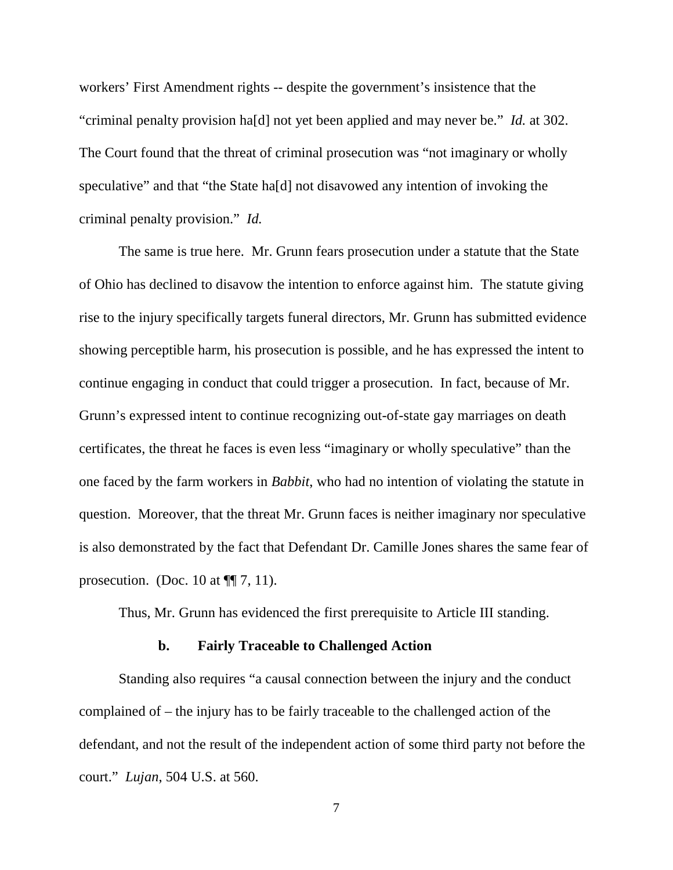workers' First Amendment rights -- despite the government's insistence that the "criminal penalty provision ha[d] not yet been applied and may never be." *Id.* at 302. The Court found that the threat of criminal prosecution was "not imaginary or wholly speculative" and that "the State ha<sup>[d]</sup> not disavowed any intention of invoking the criminal penalty provision." *Id.*

The same is true here. Mr. Grunn fears prosecution under a statute that the State of Ohio has declined to disavow the intention to enforce against him. The statute giving rise to the injury specifically targets funeral directors, Mr. Grunn has submitted evidence showing perceptible harm, his prosecution is possible, and he has expressed the intent to continue engaging in conduct that could trigger a prosecution. In fact, because of Mr. Grunn's expressed intent to continue recognizing out-of-state gay marriages on death certificates, the threat he faces is even less "imaginary or wholly speculative" than the one faced by the farm workers in *Babbit*, who had no intention of violating the statute in question. Moreover, that the threat Mr. Grunn faces is neither imaginary nor speculative is also demonstrated by the fact that Defendant Dr. Camille Jones shares the same fear of prosecution. (Doc. 10 at  $\P$ [ $\!\!\!\!\!\!/$  7, 11).

Thus, Mr. Grunn has evidenced the first prerequisite to Article III standing.

#### **b. Fairly Traceable to Challenged Action**

Standing also requires "a causal connection between the injury and the conduct complained of – the injury has to be fairly traceable to the challenged action of the defendant, and not the result of the independent action of some third party not before the court." *Lujan*, 504 U.S. at 560.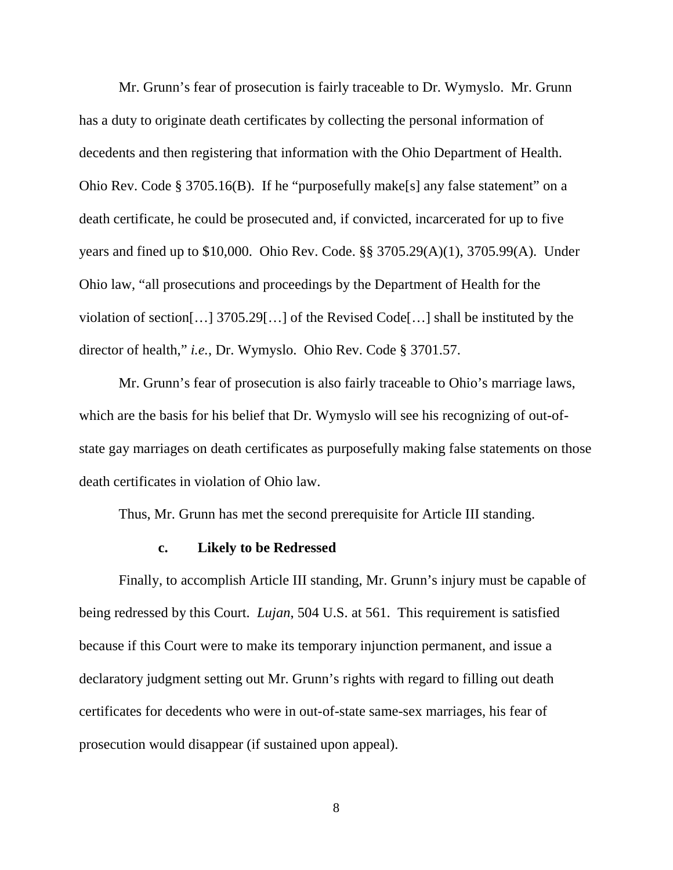Mr. Grunn's fear of prosecution is fairly traceable to Dr. Wymyslo. Mr. Grunn has a duty to originate death certificates by collecting the personal information of decedents and then registering that information with the Ohio Department of Health. Ohio Rev. Code § 3705.16(B). If he "purposefully make[s] any false statement" on a death certificate, he could be prosecuted and, if convicted, incarcerated for up to five years and fined up to \$10,000. Ohio Rev. Code. §§ 3705.29(A)(1), 3705.99(A). Under Ohio law, "all prosecutions and proceedings by the Department of Health for the violation of section[…] 3705.29[…] of the Revised Code[…] shall be instituted by the director of health," *i.e.*, Dr. Wymyslo. Ohio Rev. Code § 3701.57.

Mr. Grunn's fear of prosecution is also fairly traceable to Ohio's marriage laws, which are the basis for his belief that Dr. Wymyslo will see his recognizing of out-ofstate gay marriages on death certificates as purposefully making false statements on those death certificates in violation of Ohio law.

Thus, Mr. Grunn has met the second prerequisite for Article III standing.

#### **c. Likely to be Redressed**

Finally, to accomplish Article III standing, Mr. Grunn's injury must be capable of being redressed by this Court. *Lujan*, 504 U.S. at 561. This requirement is satisfied because if this Court were to make its temporary injunction permanent, and issue a declaratory judgment setting out Mr. Grunn's rights with regard to filling out death certificates for decedents who were in out-of-state same-sex marriages, his fear of prosecution would disappear (if sustained upon appeal).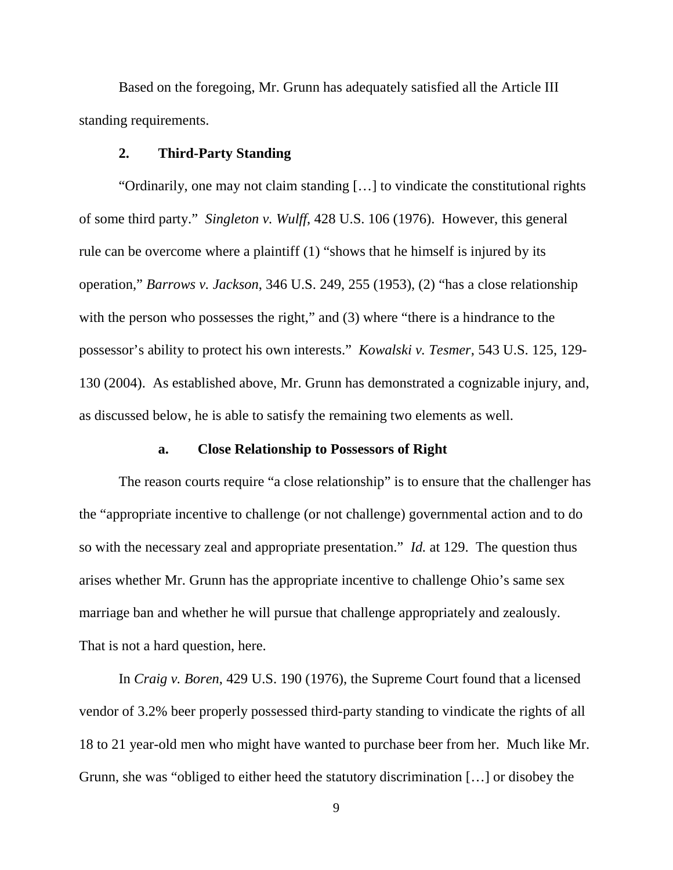Based on the foregoing, Mr. Grunn has adequately satisfied all the Article III standing requirements.

#### **2. Third-Party Standing**

"Ordinarily, one may not claim standing […] to vindicate the constitutional rights of some third party." *Singleton v. Wulff*, 428 U.S. 106 (1976). However, this general rule can be overcome where a plaintiff (1) "shows that he himself is injured by its operation," *Barrows v. Jackson*, 346 U.S. 249, 255 (1953), (2) "has a close relationship with the person who possesses the right," and (3) where "there is a hindrance to the possessor's ability to protect his own interests." *Kowalski v. Tesmer*, 543 U.S. 125, 129- 130 (2004). As established above, Mr. Grunn has demonstrated a cognizable injury, and, as discussed below, he is able to satisfy the remaining two elements as well.

#### **a. Close Relationship to Possessors of Right**

The reason courts require "a close relationship" is to ensure that the challenger has the "appropriate incentive to challenge (or not challenge) governmental action and to do so with the necessary zeal and appropriate presentation." *Id.* at 129. The question thus arises whether Mr. Grunn has the appropriate incentive to challenge Ohio's same sex marriage ban and whether he will pursue that challenge appropriately and zealously. That is not a hard question, here.

In *Craig v. Boren*, 429 U.S. 190 (1976), the Supreme Court found that a licensed vendor of 3.2% beer properly possessed third-party standing to vindicate the rights of all 18 to 21 year-old men who might have wanted to purchase beer from her. Much like Mr. Grunn, she was "obliged to either heed the statutory discrimination […] or disobey the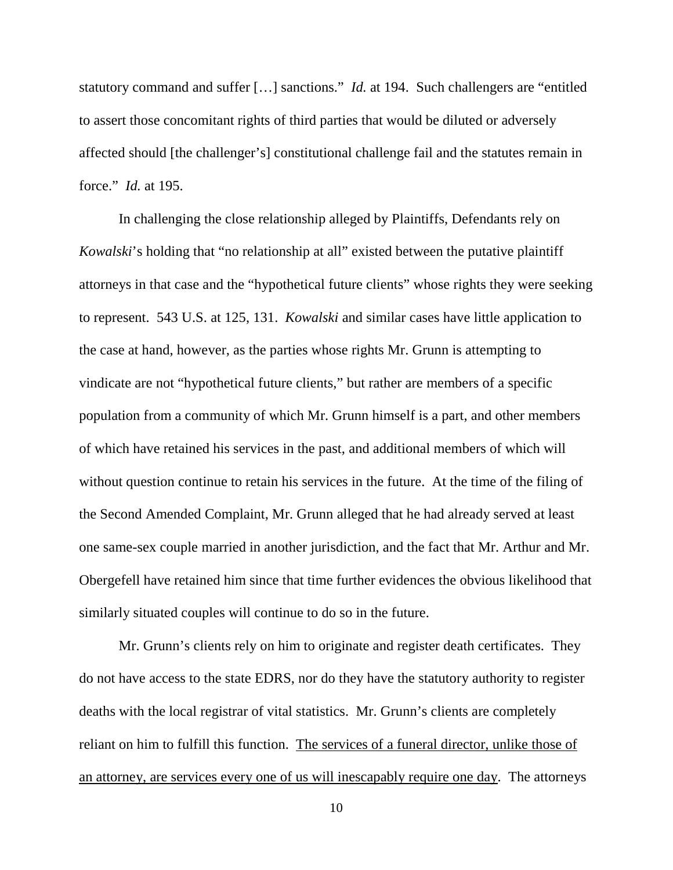statutory command and suffer […] sanctions." *Id.* at 194. Such challengers are "entitled to assert those concomitant rights of third parties that would be diluted or adversely affected should [the challenger's] constitutional challenge fail and the statutes remain in force." *Id.* at 195.

In challenging the close relationship alleged by Plaintiffs, Defendants rely on *Kowalski*'s holding that "no relationship at all" existed between the putative plaintiff attorneys in that case and the "hypothetical future clients" whose rights they were seeking to represent. 543 U.S. at 125, 131. *Kowalski* and similar cases have little application to the case at hand, however, as the parties whose rights Mr. Grunn is attempting to vindicate are not "hypothetical future clients," but rather are members of a specific population from a community of which Mr. Grunn himself is a part, and other members of which have retained his services in the past, and additional members of which will without question continue to retain his services in the future. At the time of the filing of the Second Amended Complaint, Mr. Grunn alleged that he had already served at least one same-sex couple married in another jurisdiction, and the fact that Mr. Arthur and Mr. Obergefell have retained him since that time further evidences the obvious likelihood that similarly situated couples will continue to do so in the future.

Mr. Grunn's clients rely on him to originate and register death certificates. They do not have access to the state EDRS, nor do they have the statutory authority to register deaths with the local registrar of vital statistics. Mr. Grunn's clients are completely reliant on him to fulfill this function. The services of a funeral director, unlike those of an attorney, are services every one of us will inescapably require one day. The attorneys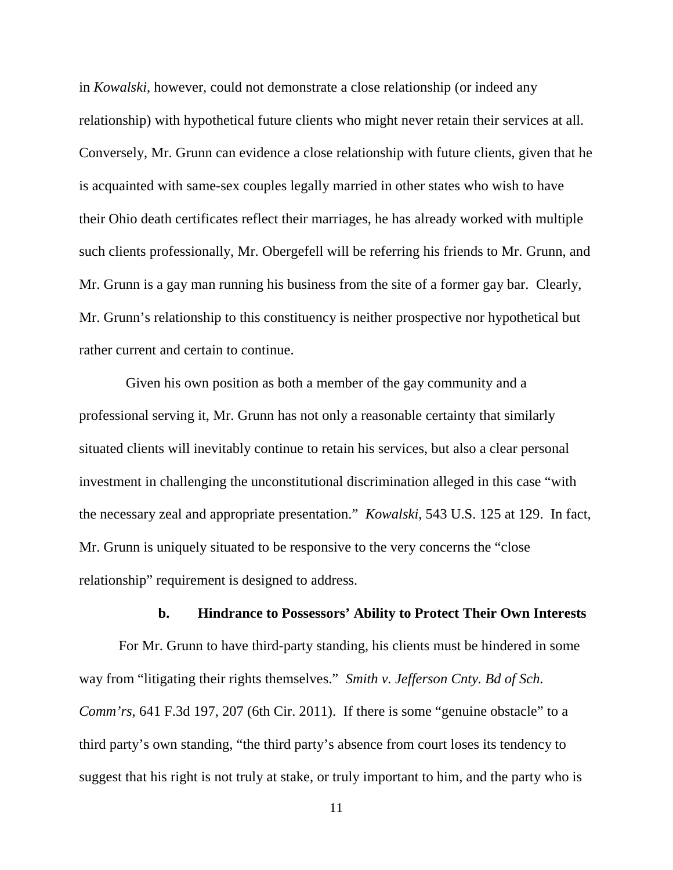in *Kowalski*, however, could not demonstrate a close relationship (or indeed any relationship) with hypothetical future clients who might never retain their services at all. Conversely, Mr. Grunn can evidence a close relationship with future clients, given that he is acquainted with same-sex couples legally married in other states who wish to have their Ohio death certificates reflect their marriages, he has already worked with multiple such clients professionally, Mr. Obergefell will be referring his friends to Mr. Grunn, and Mr. Grunn is a gay man running his business from the site of a former gay bar. Clearly, Mr. Grunn's relationship to this constituency is neither prospective nor hypothetical but rather current and certain to continue.

 Given his own position as both a member of the gay community and a professional serving it, Mr. Grunn has not only a reasonable certainty that similarly situated clients will inevitably continue to retain his services, but also a clear personal investment in challenging the unconstitutional discrimination alleged in this case "with the necessary zeal and appropriate presentation." *Kowalski*, 543 U.S. 125 at 129. In fact, Mr. Grunn is uniquely situated to be responsive to the very concerns the "close relationship" requirement is designed to address.

#### **b. Hindrance to Possessors' Ability to Protect Their Own Interests**

For Mr. Grunn to have third-party standing, his clients must be hindered in some way from "litigating their rights themselves." *Smith v. Jefferson Cnty. Bd of Sch. Comm'rs*, 641 F.3d 197, 207 (6th Cir. 2011). If there is some "genuine obstacle" to a third party's own standing, "the third party's absence from court loses its tendency to suggest that his right is not truly at stake, or truly important to him, and the party who is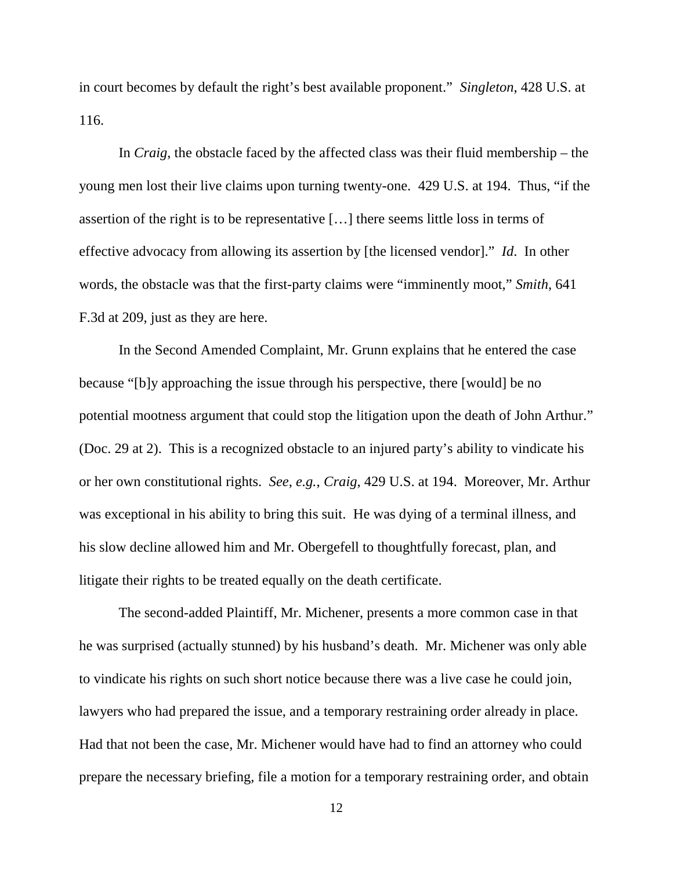in court becomes by default the right's best available proponent." *Singleton*, 428 U.S. at 116.

In *Craig*, the obstacle faced by the affected class was their fluid membership – the young men lost their live claims upon turning twenty-one. 429 U.S. at 194. Thus, "if the assertion of the right is to be representative […] there seems little loss in terms of effective advocacy from allowing its assertion by [the licensed vendor]." *Id*. In other words, the obstacle was that the first-party claims were "imminently moot," *Smith*, 641 F.3d at 209, just as they are here.

In the Second Amended Complaint, Mr. Grunn explains that he entered the case because "[b]y approaching the issue through his perspective, there [would] be no potential mootness argument that could stop the litigation upon the death of John Arthur." (Doc. 29 at 2). This is a recognized obstacle to an injured party's ability to vindicate his or her own constitutional rights. *See*, *e.g.*, *Craig*, 429 U.S. at 194. Moreover, Mr. Arthur was exceptional in his ability to bring this suit. He was dying of a terminal illness, and his slow decline allowed him and Mr. Obergefell to thoughtfully forecast, plan, and litigate their rights to be treated equally on the death certificate.

The second-added Plaintiff, Mr. Michener, presents a more common case in that he was surprised (actually stunned) by his husband's death. Mr. Michener was only able to vindicate his rights on such short notice because there was a live case he could join, lawyers who had prepared the issue, and a temporary restraining order already in place. Had that not been the case, Mr. Michener would have had to find an attorney who could prepare the necessary briefing, file a motion for a temporary restraining order, and obtain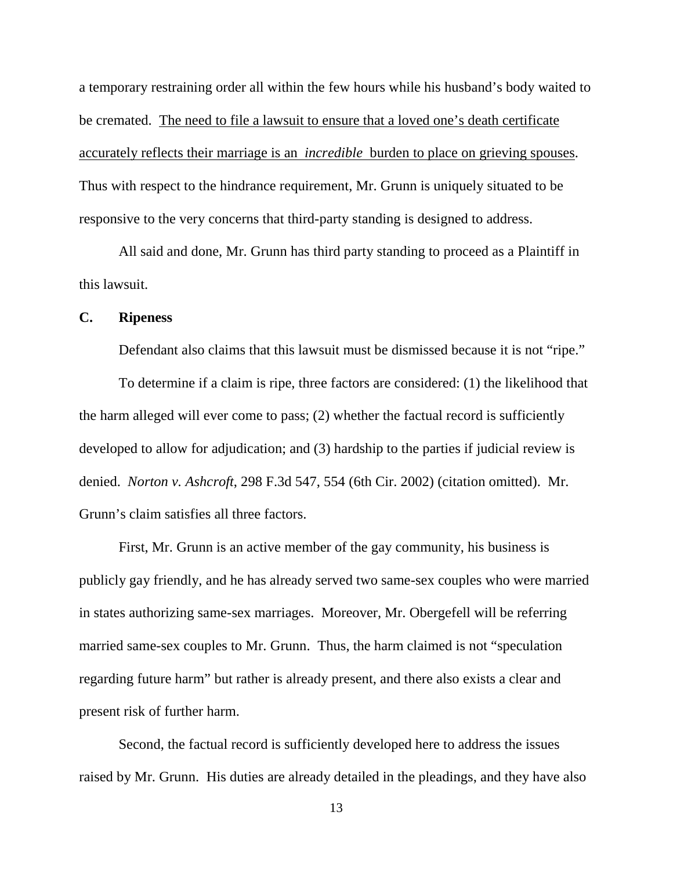a temporary restraining order all within the few hours while his husband's body waited to be cremated. The need to file a lawsuit to ensure that a loved one's death certificate accurately reflects their marriage is an *incredible* burden to place on grieving spouses. Thus with respect to the hindrance requirement, Mr. Grunn is uniquely situated to be responsive to the very concerns that third-party standing is designed to address.

All said and done, Mr. Grunn has third party standing to proceed as a Plaintiff in this lawsuit.

#### **C. Ripeness**

Defendant also claims that this lawsuit must be dismissed because it is not "ripe."

To determine if a claim is ripe, three factors are considered: (1) the likelihood that the harm alleged will ever come to pass; (2) whether the factual record is sufficiently developed to allow for adjudication; and (3) hardship to the parties if judicial review is denied. *Norton v. Ashcroft*, 298 F.3d 547, 554 (6th Cir. 2002) (citation omitted). Mr. Grunn's claim satisfies all three factors.

First, Mr. Grunn is an active member of the gay community, his business is publicly gay friendly, and he has already served two same-sex couples who were married in states authorizing same-sex marriages. Moreover, Mr. Obergefell will be referring married same-sex couples to Mr. Grunn. Thus, the harm claimed is not "speculation regarding future harm" but rather is already present, and there also exists a clear and present risk of further harm.

Second, the factual record is sufficiently developed here to address the issues raised by Mr. Grunn. His duties are already detailed in the pleadings, and they have also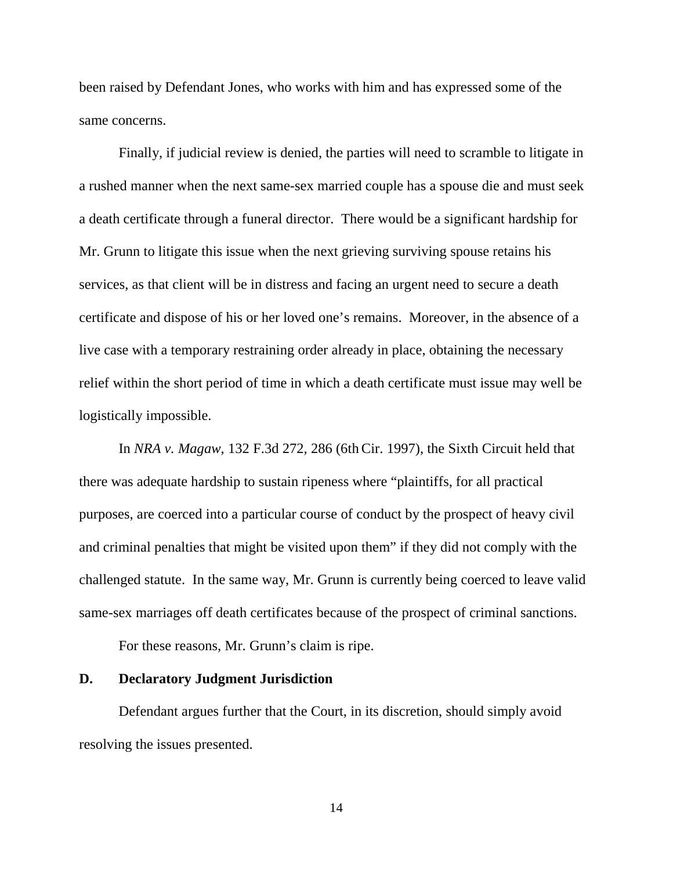been raised by Defendant Jones, who works with him and has expressed some of the same concerns.

Finally, if judicial review is denied, the parties will need to scramble to litigate in a rushed manner when the next same-sex married couple has a spouse die and must seek a death certificate through a funeral director. There would be a significant hardship for Mr. Grunn to litigate this issue when the next grieving surviving spouse retains his services, as that client will be in distress and facing an urgent need to secure a death certificate and dispose of his or her loved one's remains. Moreover, in the absence of a live case with a temporary restraining order already in place, obtaining the necessary relief within the short period of time in which a death certificate must issue may well be logistically impossible.

In *NRA v. Magaw*, 132 F.3d 272, 286 (6th Cir. 1997), the Sixth Circuit held that there was adequate hardship to sustain ripeness where "plaintiffs, for all practical purposes, are coerced into a particular course of conduct by the prospect of heavy civil and criminal penalties that might be visited upon them" if they did not comply with the challenged statute. In the same way, Mr. Grunn is currently being coerced to leave valid same-sex marriages off death certificates because of the prospect of criminal sanctions.

For these reasons, Mr. Grunn's claim is ripe.

## **D. Declaratory Judgment Jurisdiction**

Defendant argues further that the Court, in its discretion, should simply avoid resolving the issues presented.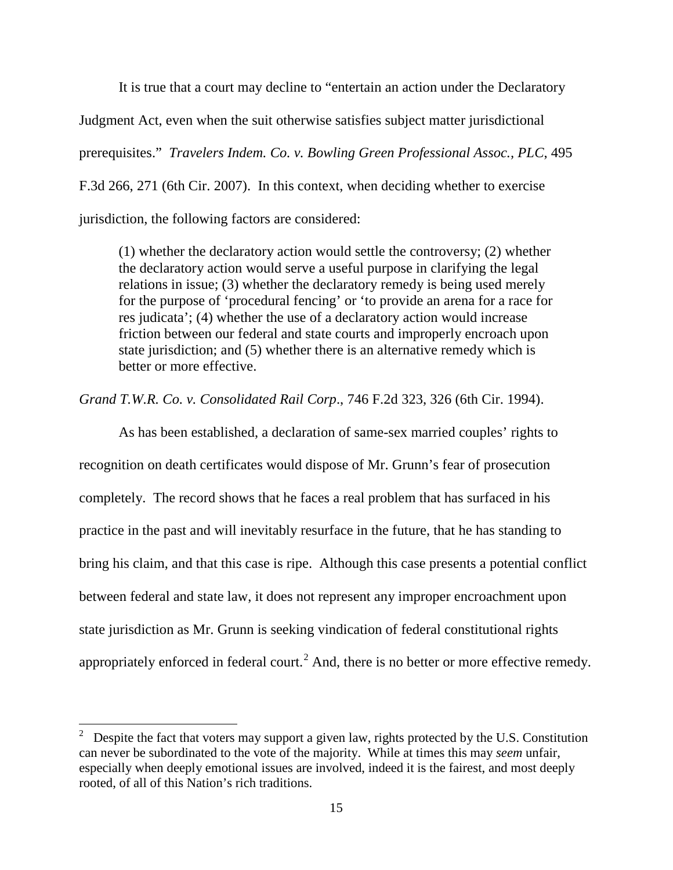It is true that a court may decline to "entertain an action under the Declaratory Judgment Act, even when the suit otherwise satisfies subject matter jurisdictional prerequisites." *Travelers Indem. Co. v. Bowling Green Professional Assoc., PLC*, 495 F.3d 266, 271 (6th Cir. 2007). In this context, when deciding whether to exercise jurisdiction, the following factors are considered:

(1) whether the declaratory action would settle the controversy; (2) whether the declaratory action would serve a useful purpose in clarifying the legal relations in issue; (3) whether the declaratory remedy is being used merely for the purpose of 'procedural fencing' or 'to provide an arena for a race for res judicata'; (4) whether the use of a declaratory action would increase friction between our federal and state courts and improperly encroach upon state jurisdiction; and (5) whether there is an alternative remedy which is better or more effective.

*Grand T.W.R. Co. v. Consolidated Rail Corp*., 746 F.2d 323, 326 (6th Cir. 1994).

 As has been established, a declaration of same-sex married couples' rights to recognition on death certificates would dispose of Mr. Grunn's fear of prosecution completely. The record shows that he faces a real problem that has surfaced in his practice in the past and will inevitably resurface in the future, that he has standing to bring his claim, and that this case is ripe. Although this case presents a potential conflict between federal and state law, it does not represent any improper encroachment upon state jurisdiction as Mr. Grunn is seeking vindication of federal constitutional rights appropriately enforced in federal court.<sup>[2](#page-14-0)</sup> And, there is no better or more effective remedy.

<span id="page-14-0"></span> $\frac{1}{2}$  Despite the fact that voters may support a given law, rights protected by the U.S. Constitution can never be subordinated to the vote of the majority. While at times this may *seem* unfair, especially when deeply emotional issues are involved, indeed it is the fairest, and most deeply rooted, of all of this Nation's rich traditions.